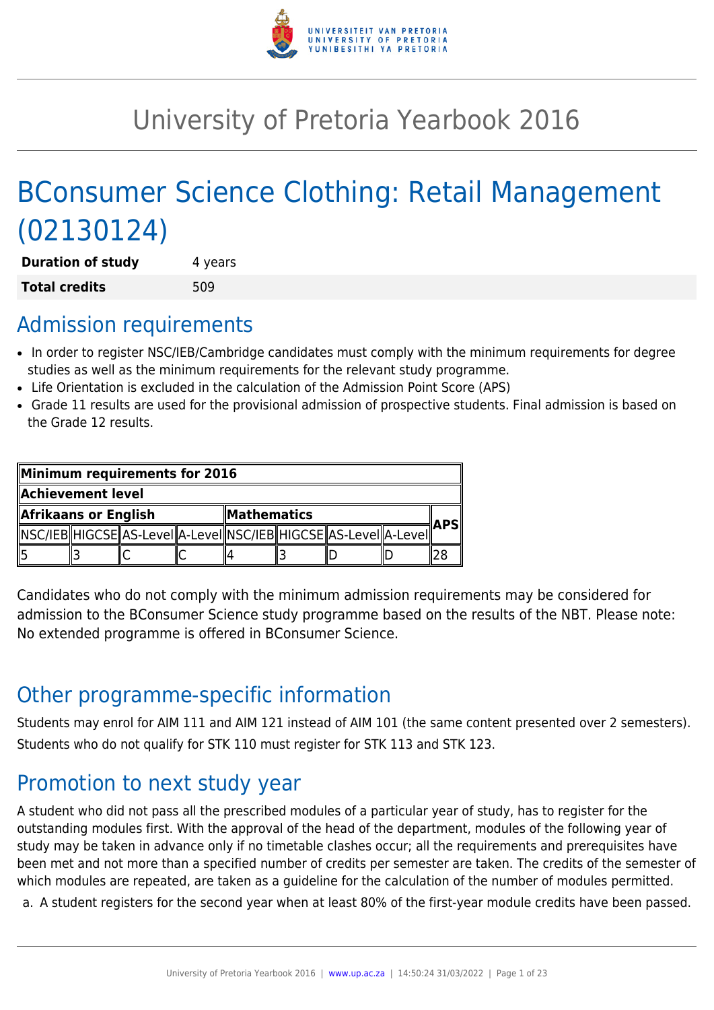

# University of Pretoria Yearbook 2016

# BConsumer Science Clothing: Retail Management (02130124)

**Duration of study** 4 years **Total credits** 509

## Admission requirements

- In order to register NSC/IEB/Cambridge candidates must comply with the minimum requirements for degree studies as well as the minimum requirements for the relevant study programme.
- Life Orientation is excluded in the calculation of the Admission Point Score (APS)
- Grade 11 results are used for the provisional admission of prospective students. Final admission is based on the Grade 12 results.

| Minimum requirements for 2016 |  |                                                                           |                    |  |  |  |  |  |
|-------------------------------|--|---------------------------------------------------------------------------|--------------------|--|--|--|--|--|
| Achievement level             |  |                                                                           |                    |  |  |  |  |  |
| Afrikaans or English          |  |                                                                           | <b>Mathematics</b> |  |  |  |  |  |
|                               |  | NSC/IEB  HIGCSE  AS-LeveI  A-LeveI  NSC/IEB  HIGCSE  AS-LeveI  A-LeveI  ´ |                    |  |  |  |  |  |
|                               |  |                                                                           |                    |  |  |  |  |  |

Candidates who do not comply with the minimum admission requirements may be considered for admission to the BConsumer Science study programme based on the results of the NBT. Please note: No extended programme is offered in BConsumer Science.

## Other programme-specific information

Students may enrol for AIM 111 and AIM 121 instead of AIM 101 (the same content presented over 2 semesters). Students who do not qualify for STK 110 must register for STK 113 and STK 123.

## Promotion to next study year

A student who did not pass all the prescribed modules of a particular year of study, has to register for the outstanding modules first. With the approval of the head of the department, modules of the following year of study may be taken in advance only if no timetable clashes occur; all the requirements and prerequisites have been met and not more than a specified number of credits per semester are taken. The credits of the semester of which modules are repeated, are taken as a guideline for the calculation of the number of modules permitted.

a. A student registers for the second year when at least 80% of the first-year module credits have been passed.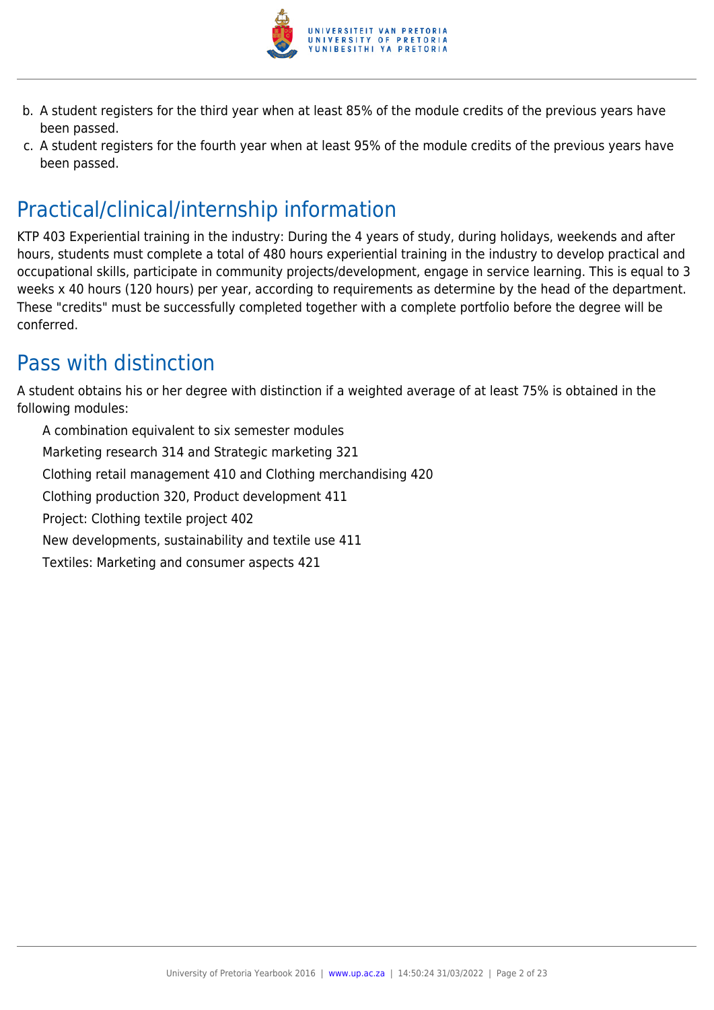

- b. A student registers for the third year when at least 85% of the module credits of the previous years have been passed.
- c. A student registers for the fourth year when at least 95% of the module credits of the previous years have been passed.

## Practical/clinical/internship information

KTP 403 Experiential training in the industry: During the 4 years of study, during holidays, weekends and after hours, students must complete a total of 480 hours experiential training in the industry to develop practical and occupational skills, participate in community projects/development, engage in service learning. This is equal to 3 weeks x 40 hours (120 hours) per year, according to requirements as determine by the head of the department. These "credits" must be successfully completed together with a complete portfolio before the degree will be conferred.

## Pass with distinction

A student obtains his or her degree with distinction if a weighted average of at least 75% is obtained in the following modules:

A combination equivalent to six semester modules Marketing research 314 and Strategic marketing 321 Clothing retail management 410 and Clothing merchandising 420 Clothing production 320, Product development 411 Project: Clothing textile project 402 New developments, sustainability and textile use 411 Textiles: Marketing and consumer aspects 421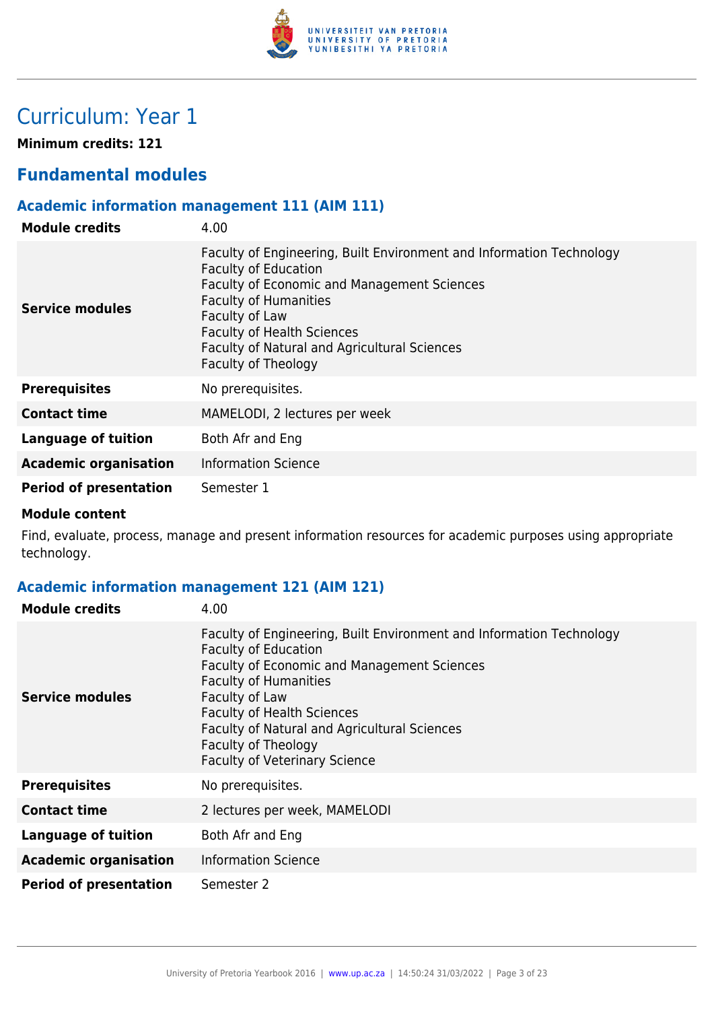

## Curriculum: Year 1

**Minimum credits: 121**

## **Fundamental modules**

## **Academic information management 111 (AIM 111)**

| <b>Module credits</b>         | 4.00                                                                                                                                                                                                                                                                                                                           |
|-------------------------------|--------------------------------------------------------------------------------------------------------------------------------------------------------------------------------------------------------------------------------------------------------------------------------------------------------------------------------|
| Service modules               | Faculty of Engineering, Built Environment and Information Technology<br><b>Faculty of Education</b><br><b>Faculty of Economic and Management Sciences</b><br><b>Faculty of Humanities</b><br>Faculty of Law<br><b>Faculty of Health Sciences</b><br><b>Faculty of Natural and Agricultural Sciences</b><br>Faculty of Theology |
| <b>Prerequisites</b>          | No prerequisites.                                                                                                                                                                                                                                                                                                              |
| <b>Contact time</b>           | MAMELODI, 2 lectures per week                                                                                                                                                                                                                                                                                                  |
| Language of tuition           | Both Afr and Eng                                                                                                                                                                                                                                                                                                               |
| <b>Academic organisation</b>  | <b>Information Science</b>                                                                                                                                                                                                                                                                                                     |
| <b>Period of presentation</b> | Semester 1                                                                                                                                                                                                                                                                                                                     |

#### **Module content**

Find, evaluate, process, manage and present information resources for academic purposes using appropriate technology.

## **Academic information management 121 (AIM 121)**

| <b>Module credits</b>         | 4.00                                                                                                                                                                                                                                                                                                                                                     |
|-------------------------------|----------------------------------------------------------------------------------------------------------------------------------------------------------------------------------------------------------------------------------------------------------------------------------------------------------------------------------------------------------|
| <b>Service modules</b>        | Faculty of Engineering, Built Environment and Information Technology<br><b>Faculty of Education</b><br>Faculty of Economic and Management Sciences<br><b>Faculty of Humanities</b><br>Faculty of Law<br><b>Faculty of Health Sciences</b><br>Faculty of Natural and Agricultural Sciences<br>Faculty of Theology<br><b>Faculty of Veterinary Science</b> |
| <b>Prerequisites</b>          | No prerequisites.                                                                                                                                                                                                                                                                                                                                        |
| <b>Contact time</b>           | 2 lectures per week, MAMELODI                                                                                                                                                                                                                                                                                                                            |
| <b>Language of tuition</b>    | Both Afr and Eng                                                                                                                                                                                                                                                                                                                                         |
| <b>Academic organisation</b>  | <b>Information Science</b>                                                                                                                                                                                                                                                                                                                               |
| <b>Period of presentation</b> | Semester 2                                                                                                                                                                                                                                                                                                                                               |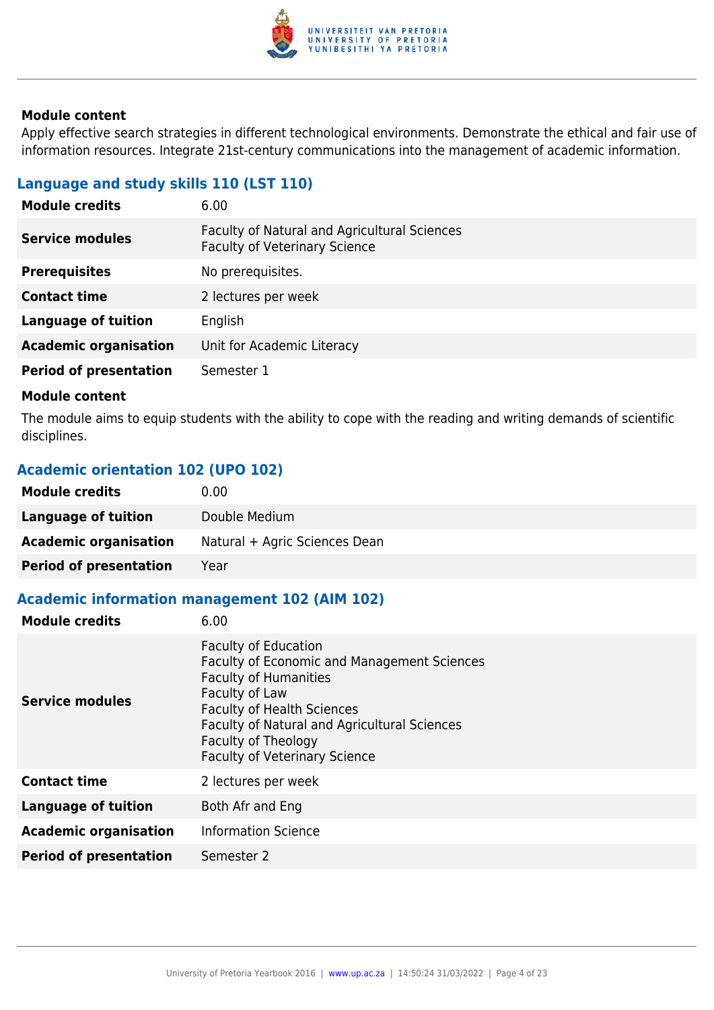

Apply effective search strategies in different technological environments. Demonstrate the ethical and fair use of information resources. Integrate 21st-century communications into the management of academic information.

## **Language and study skills 110 (LST 110)**

| 6.00                                                                                 |
|--------------------------------------------------------------------------------------|
| Faculty of Natural and Agricultural Sciences<br><b>Faculty of Veterinary Science</b> |
| No prerequisites.                                                                    |
| 2 lectures per week                                                                  |
| English                                                                              |
| Unit for Academic Literacy                                                           |
| Semester 1                                                                           |
|                                                                                      |

#### **Module content**

The module aims to equip students with the ability to cope with the reading and writing demands of scientific disciplines.

### **Academic orientation 102 (UPO 102)**

| <b>Module credits</b>         | 0.00                          |
|-------------------------------|-------------------------------|
| Language of tuition           | Double Medium                 |
| <b>Academic organisation</b>  | Natural + Agric Sciences Dean |
| <b>Period of presentation</b> | Year                          |

## **Academic information management 102 (AIM 102)**

| <b>Module credits</b>         | 6.00                                                                                                                                                                                                                                                                             |
|-------------------------------|----------------------------------------------------------------------------------------------------------------------------------------------------------------------------------------------------------------------------------------------------------------------------------|
| <b>Service modules</b>        | <b>Faculty of Education</b><br>Faculty of Economic and Management Sciences<br><b>Faculty of Humanities</b><br>Faculty of Law<br><b>Faculty of Health Sciences</b><br>Faculty of Natural and Agricultural Sciences<br>Faculty of Theology<br><b>Faculty of Veterinary Science</b> |
| <b>Contact time</b>           | 2 lectures per week                                                                                                                                                                                                                                                              |
| <b>Language of tuition</b>    | Both Afr and Eng                                                                                                                                                                                                                                                                 |
| <b>Academic organisation</b>  | <b>Information Science</b>                                                                                                                                                                                                                                                       |
| <b>Period of presentation</b> | Semester 2                                                                                                                                                                                                                                                                       |
|                               |                                                                                                                                                                                                                                                                                  |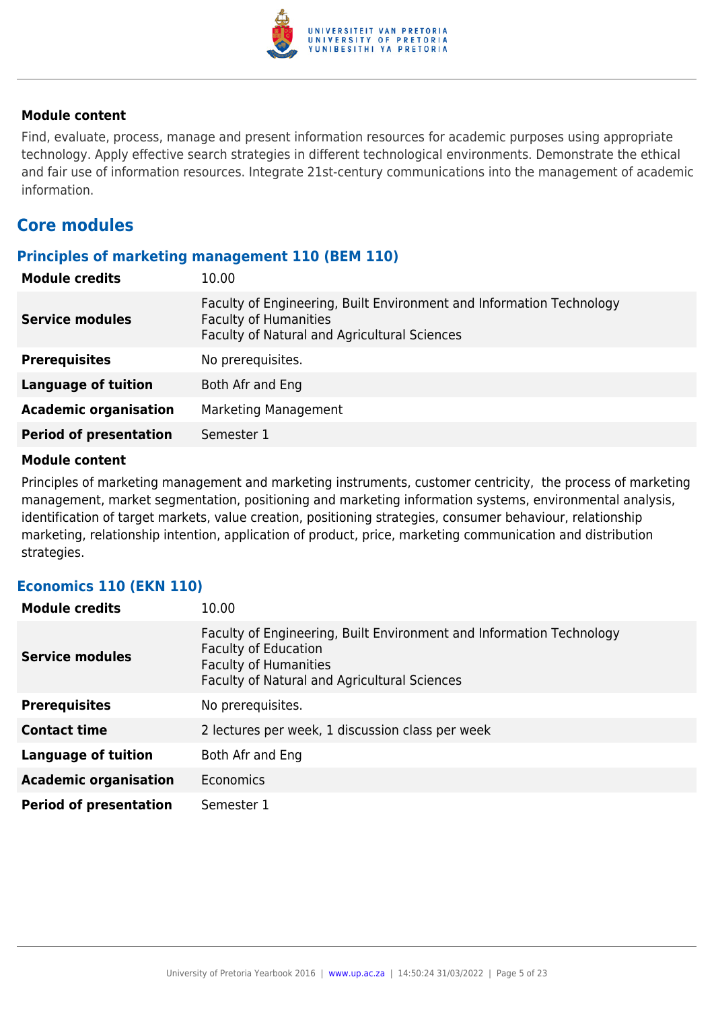

Find, evaluate, process, manage and present information resources for academic purposes using appropriate technology. Apply effective search strategies in different technological environments. Demonstrate the ethical and fair use of information resources. Integrate 21st-century communications into the management of academic information.

## **Core modules**

#### **Principles of marketing management 110 (BEM 110)**

| <b>Module credits</b>         | 10.00                                                                                                                                                |
|-------------------------------|------------------------------------------------------------------------------------------------------------------------------------------------------|
| <b>Service modules</b>        | Faculty of Engineering, Built Environment and Information Technology<br><b>Faculty of Humanities</b><br>Faculty of Natural and Agricultural Sciences |
| <b>Prerequisites</b>          | No prerequisites.                                                                                                                                    |
| <b>Language of tuition</b>    | Both Afr and Eng                                                                                                                                     |
| <b>Academic organisation</b>  | Marketing Management                                                                                                                                 |
| <b>Period of presentation</b> | Semester 1                                                                                                                                           |

#### **Module content**

Principles of marketing management and marketing instruments, customer centricity, the process of marketing management, market segmentation, positioning and marketing information systems, environmental analysis, identification of target markets, value creation, positioning strategies, consumer behaviour, relationship marketing, relationship intention, application of product, price, marketing communication and distribution strategies.

#### **Economics 110 (EKN 110)**

| <b>Module credits</b>         | 10.00                                                                                                                                                                               |
|-------------------------------|-------------------------------------------------------------------------------------------------------------------------------------------------------------------------------------|
| <b>Service modules</b>        | Faculty of Engineering, Built Environment and Information Technology<br><b>Faculty of Education</b><br><b>Faculty of Humanities</b><br>Faculty of Natural and Agricultural Sciences |
| <b>Prerequisites</b>          | No prerequisites.                                                                                                                                                                   |
| <b>Contact time</b>           | 2 lectures per week, 1 discussion class per week                                                                                                                                    |
| <b>Language of tuition</b>    | Both Afr and Eng                                                                                                                                                                    |
| <b>Academic organisation</b>  | Economics                                                                                                                                                                           |
| <b>Period of presentation</b> | Semester 1                                                                                                                                                                          |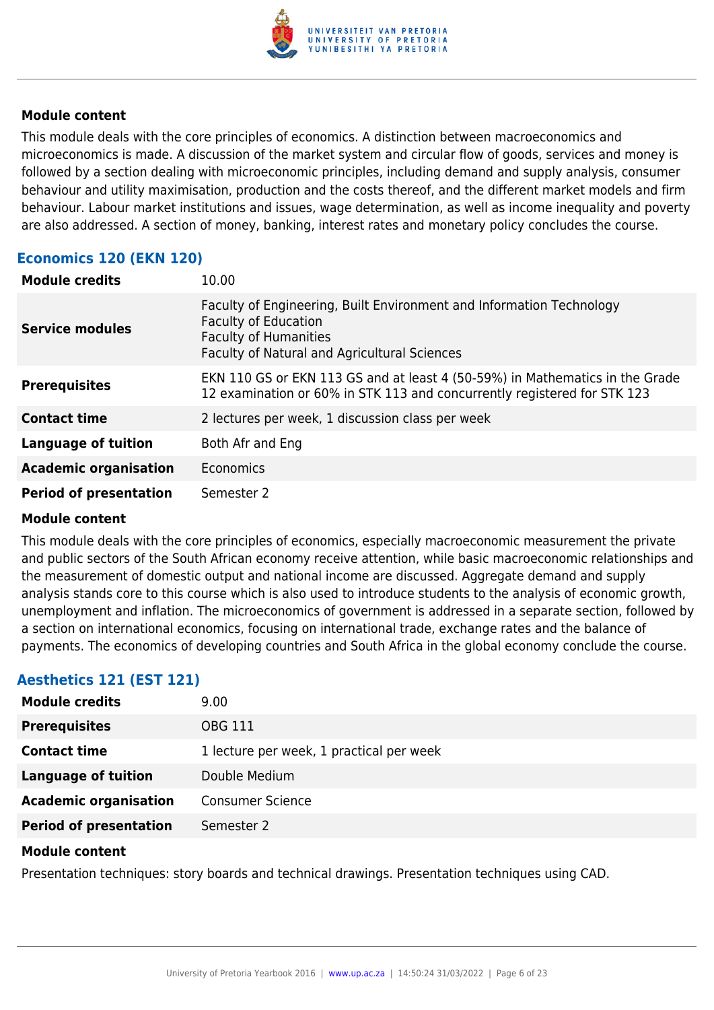

This module deals with the core principles of economics. A distinction between macroeconomics and microeconomics is made. A discussion of the market system and circular flow of goods, services and money is followed by a section dealing with microeconomic principles, including demand and supply analysis, consumer behaviour and utility maximisation, production and the costs thereof, and the different market models and firm behaviour. Labour market institutions and issues, wage determination, as well as income inequality and poverty are also addressed. A section of money, banking, interest rates and monetary policy concludes the course.

## **Economics 120 (EKN 120)**

| <b>Module credits</b>         | 10.00                                                                                                                                                                               |
|-------------------------------|-------------------------------------------------------------------------------------------------------------------------------------------------------------------------------------|
| <b>Service modules</b>        | Faculty of Engineering, Built Environment and Information Technology<br><b>Faculty of Education</b><br><b>Faculty of Humanities</b><br>Faculty of Natural and Agricultural Sciences |
| <b>Prerequisites</b>          | EKN 110 GS or EKN 113 GS and at least 4 (50-59%) in Mathematics in the Grade<br>12 examination or 60% in STK 113 and concurrently registered for STK 123                            |
| <b>Contact time</b>           | 2 lectures per week, 1 discussion class per week                                                                                                                                    |
| <b>Language of tuition</b>    | Both Afr and Eng                                                                                                                                                                    |
| <b>Academic organisation</b>  | Economics                                                                                                                                                                           |
| <b>Period of presentation</b> | Semester 2                                                                                                                                                                          |

#### **Module content**

This module deals with the core principles of economics, especially macroeconomic measurement the private and public sectors of the South African economy receive attention, while basic macroeconomic relationships and the measurement of domestic output and national income are discussed. Aggregate demand and supply analysis stands core to this course which is also used to introduce students to the analysis of economic growth, unemployment and inflation. The microeconomics of government is addressed in a separate section, followed by a section on international economics, focusing on international trade, exchange rates and the balance of payments. The economics of developing countries and South Africa in the global economy conclude the course.

## **Aesthetics 121 (EST 121)**

| <b>Module credits</b>         | 9.00                                     |
|-------------------------------|------------------------------------------|
| <b>Prerequisites</b>          | OBG 111                                  |
| <b>Contact time</b>           | 1 lecture per week, 1 practical per week |
| Language of tuition           | Double Medium                            |
| <b>Academic organisation</b>  | <b>Consumer Science</b>                  |
| <b>Period of presentation</b> | Semester 2                               |

#### **Module content**

Presentation techniques: story boards and technical drawings. Presentation techniques using CAD.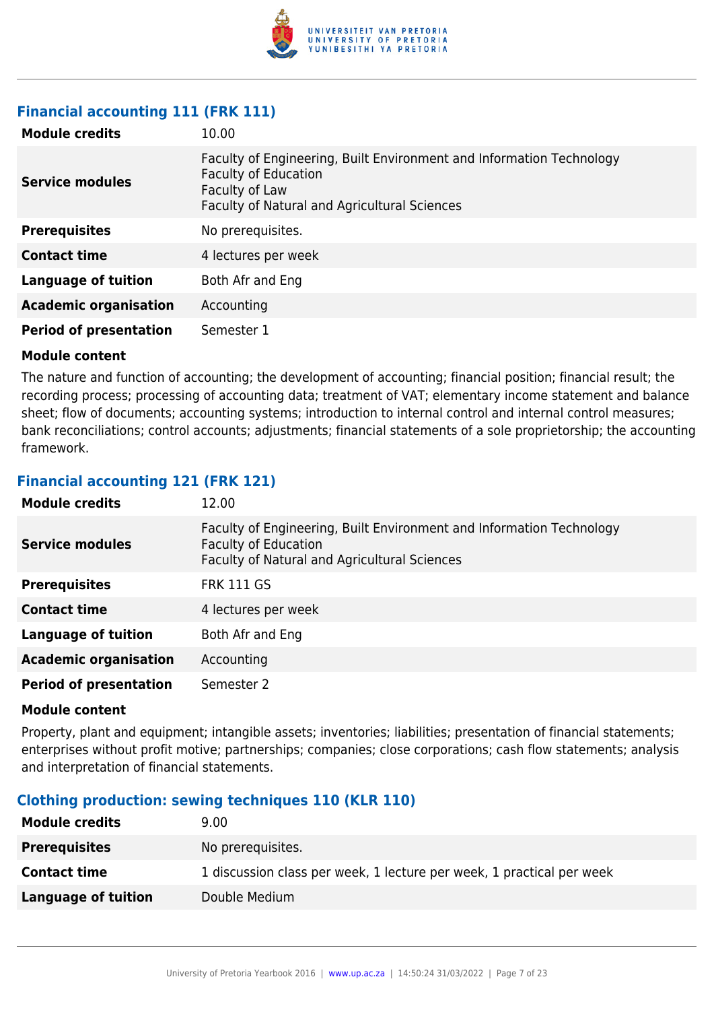

## **Financial accounting 111 (FRK 111)**

| <b>Module credits</b>         | 10.00                                                                                                                                                                 |
|-------------------------------|-----------------------------------------------------------------------------------------------------------------------------------------------------------------------|
| Service modules               | Faculty of Engineering, Built Environment and Information Technology<br><b>Faculty of Education</b><br>Faculty of Law<br>Faculty of Natural and Agricultural Sciences |
| <b>Prerequisites</b>          | No prerequisites.                                                                                                                                                     |
| <b>Contact time</b>           | 4 lectures per week                                                                                                                                                   |
| Language of tuition           | Both Afr and Eng                                                                                                                                                      |
| <b>Academic organisation</b>  | Accounting                                                                                                                                                            |
| <b>Period of presentation</b> | Semester 1                                                                                                                                                            |

#### **Module content**

The nature and function of accounting; the development of accounting; financial position; financial result; the recording process; processing of accounting data; treatment of VAT; elementary income statement and balance sheet; flow of documents; accounting systems; introduction to internal control and internal control measures; bank reconciliations; control accounts; adjustments; financial statements of a sole proprietorship; the accounting framework.

## **Financial accounting 121 (FRK 121)**

| <b>Module credits</b>         | 12.00                                                                                                                                               |
|-------------------------------|-----------------------------------------------------------------------------------------------------------------------------------------------------|
| <b>Service modules</b>        | Faculty of Engineering, Built Environment and Information Technology<br><b>Faculty of Education</b><br>Faculty of Natural and Agricultural Sciences |
| <b>Prerequisites</b>          | <b>FRK 111 GS</b>                                                                                                                                   |
| <b>Contact time</b>           | 4 lectures per week                                                                                                                                 |
| <b>Language of tuition</b>    | Both Afr and Eng                                                                                                                                    |
| <b>Academic organisation</b>  | Accounting                                                                                                                                          |
| <b>Period of presentation</b> | Semester 2                                                                                                                                          |

#### **Module content**

Property, plant and equipment; intangible assets; inventories; liabilities; presentation of financial statements; enterprises without profit motive; partnerships; companies; close corporations; cash flow statements; analysis and interpretation of financial statements.

### **Clothing production: sewing techniques 110 (KLR 110)**

| <b>Module credits</b> | 9.00                                                                  |
|-----------------------|-----------------------------------------------------------------------|
| <b>Prerequisites</b>  | No prerequisites.                                                     |
| <b>Contact time</b>   | 1 discussion class per week, 1 lecture per week, 1 practical per week |
| Language of tuition   | Double Medium                                                         |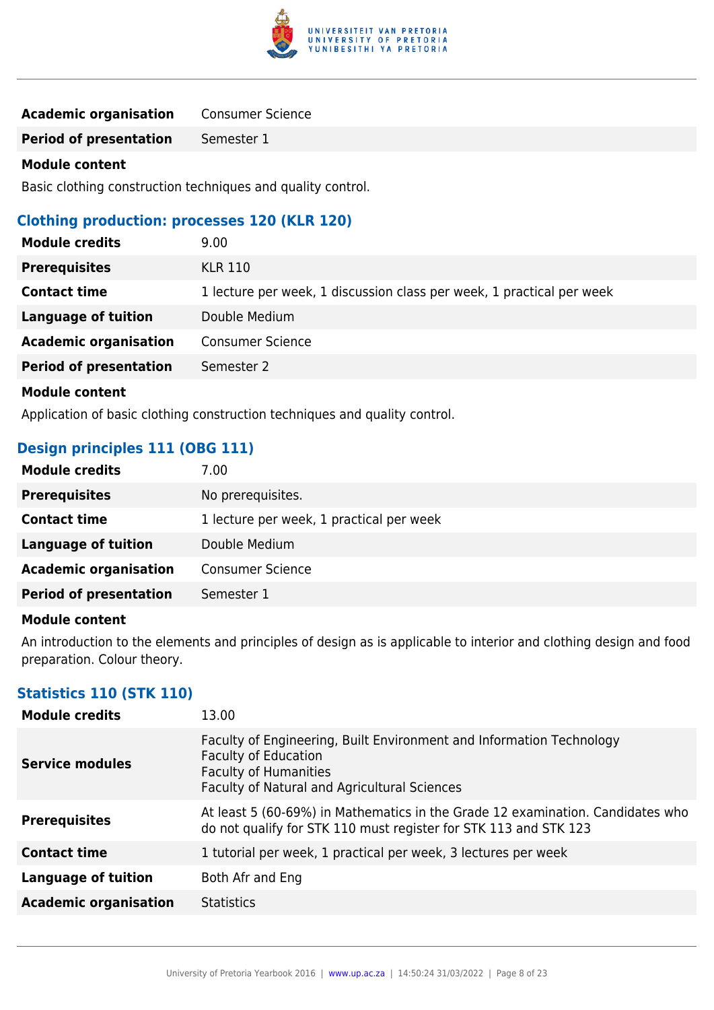

| <b>Academic organisation</b> | <b>Consumer Science</b> |
|------------------------------|-------------------------|
|------------------------------|-------------------------|

**Period of presentation** Semester 1

#### **Module content**

Basic clothing construction techniques and quality control.

#### **Clothing production: processes 120 (KLR 120)**

| <b>Module credits</b>         | 9.00                                                                  |
|-------------------------------|-----------------------------------------------------------------------|
| <b>Prerequisites</b>          | <b>KLR 110</b>                                                        |
| <b>Contact time</b>           | 1 lecture per week, 1 discussion class per week, 1 practical per week |
| Language of tuition           | Double Medium                                                         |
| <b>Academic organisation</b>  | <b>Consumer Science</b>                                               |
| <b>Period of presentation</b> | Semester 2                                                            |
| <b>Module content</b>         |                                                                       |

Application of basic clothing construction techniques and quality control.

## **Design principles 111 (OBG 111)**

| <b>Module credits</b>         | 7.00                                     |
|-------------------------------|------------------------------------------|
| <b>Prerequisites</b>          | No prerequisites.                        |
| <b>Contact time</b>           | 1 lecture per week, 1 practical per week |
| Language of tuition           | Double Medium                            |
| <b>Academic organisation</b>  | <b>Consumer Science</b>                  |
| <b>Period of presentation</b> | Semester 1                               |

#### **Module content**

An introduction to the elements and principles of design as is applicable to interior and clothing design and food preparation. Colour theory.

#### **Statistics 110 (STK 110)**

| <b>Module credits</b>        | 13.00                                                                                                                                                                               |
|------------------------------|-------------------------------------------------------------------------------------------------------------------------------------------------------------------------------------|
| <b>Service modules</b>       | Faculty of Engineering, Built Environment and Information Technology<br><b>Faculty of Education</b><br><b>Faculty of Humanities</b><br>Faculty of Natural and Agricultural Sciences |
| <b>Prerequisites</b>         | At least 5 (60-69%) in Mathematics in the Grade 12 examination. Candidates who<br>do not qualify for STK 110 must register for STK 113 and STK 123                                  |
| <b>Contact time</b>          | 1 tutorial per week, 1 practical per week, 3 lectures per week                                                                                                                      |
| <b>Language of tuition</b>   | Both Afr and Eng                                                                                                                                                                    |
| <b>Academic organisation</b> | <b>Statistics</b>                                                                                                                                                                   |
|                              |                                                                                                                                                                                     |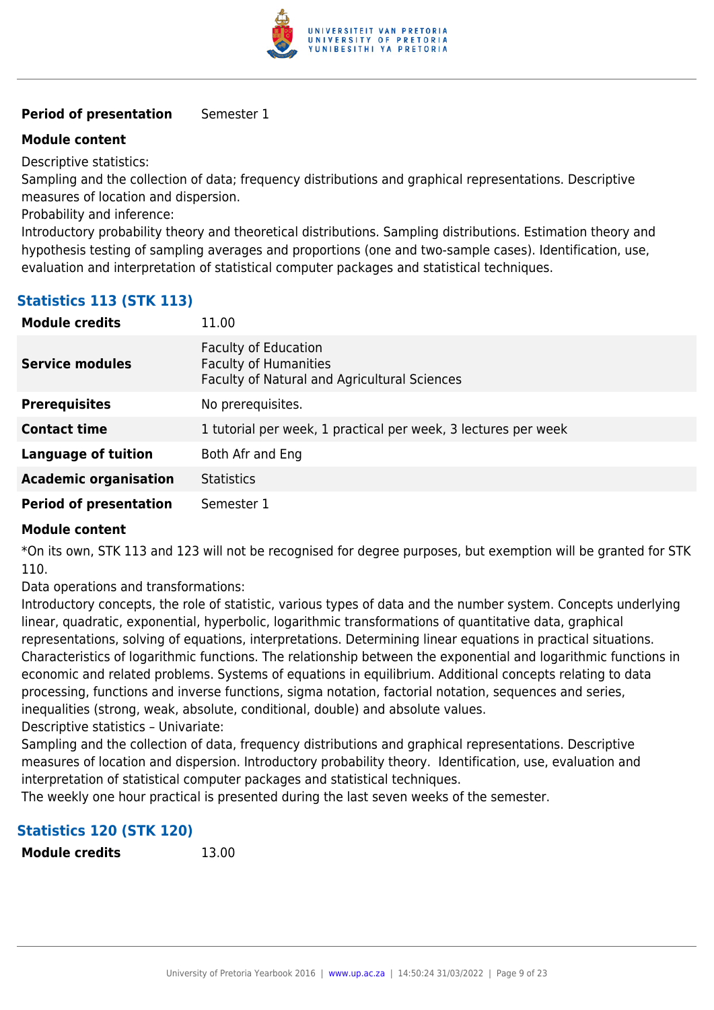

#### **Period of presentation** Semester 1

#### **Module content**

Descriptive statistics:

Sampling and the collection of data; frequency distributions and graphical representations. Descriptive measures of location and dispersion.

Probability and inference:

Introductory probability theory and theoretical distributions. Sampling distributions. Estimation theory and hypothesis testing of sampling averages and proportions (one and two-sample cases). Identification, use, evaluation and interpretation of statistical computer packages and statistical techniques.

## **Statistics 113 (STK 113)**

| <b>Module credits</b>         | 11.00                                                                                                              |
|-------------------------------|--------------------------------------------------------------------------------------------------------------------|
| <b>Service modules</b>        | <b>Faculty of Education</b><br><b>Faculty of Humanities</b><br><b>Faculty of Natural and Agricultural Sciences</b> |
| <b>Prerequisites</b>          | No prerequisites.                                                                                                  |
| <b>Contact time</b>           | 1 tutorial per week, 1 practical per week, 3 lectures per week                                                     |
| Language of tuition           | Both Afr and Eng                                                                                                   |
| <b>Academic organisation</b>  | <b>Statistics</b>                                                                                                  |
| <b>Period of presentation</b> | Semester 1                                                                                                         |

#### **Module content**

\*On its own, STK 113 and 123 will not be recognised for degree purposes, but exemption will be granted for STK 110.

Data operations and transformations:

Introductory concepts, the role of statistic, various types of data and the number system. Concepts underlying linear, quadratic, exponential, hyperbolic, logarithmic transformations of quantitative data, graphical representations, solving of equations, interpretations. Determining linear equations in practical situations. Characteristics of logarithmic functions. The relationship between the exponential and logarithmic functions in economic and related problems. Systems of equations in equilibrium. Additional concepts relating to data processing, functions and inverse functions, sigma notation, factorial notation, sequences and series, inequalities (strong, weak, absolute, conditional, double) and absolute values.

Descriptive statistics – Univariate:

Sampling and the collection of data, frequency distributions and graphical representations. Descriptive measures of location and dispersion. Introductory probability theory. Identification, use, evaluation and interpretation of statistical computer packages and statistical techniques.

The weekly one hour practical is presented during the last seven weeks of the semester.

### **Statistics 120 (STK 120)**

**Module credits** 13.00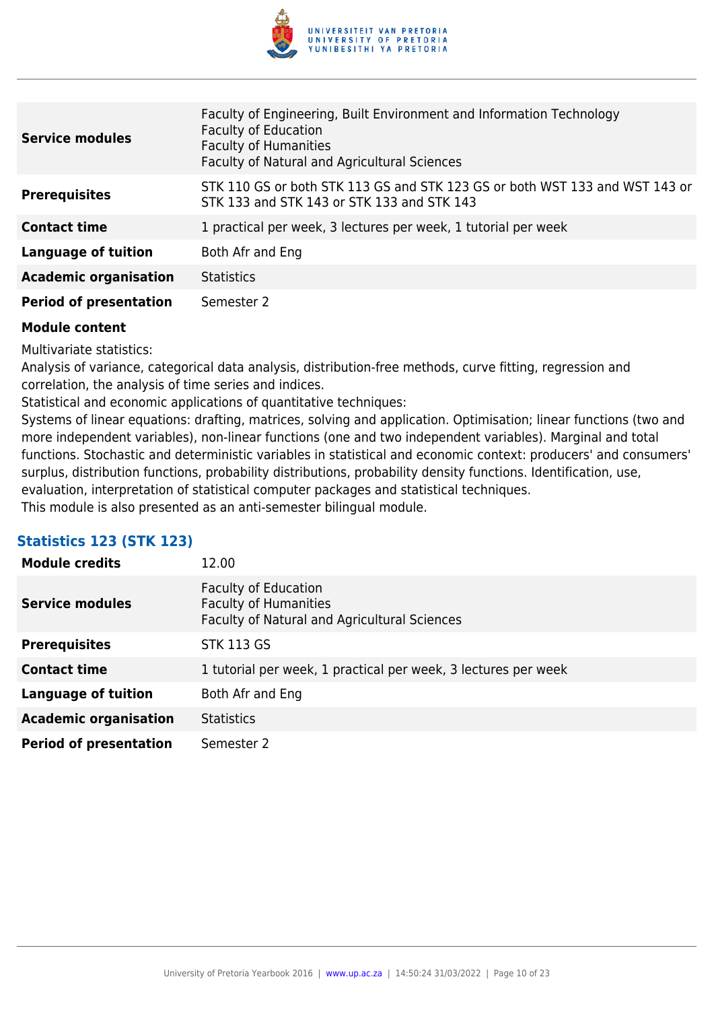

| <b>Service modules</b>        | Faculty of Engineering, Built Environment and Information Technology<br><b>Faculty of Education</b><br><b>Faculty of Humanities</b><br>Faculty of Natural and Agricultural Sciences |
|-------------------------------|-------------------------------------------------------------------------------------------------------------------------------------------------------------------------------------|
| <b>Prerequisites</b>          | STK 110 GS or both STK 113 GS and STK 123 GS or both WST 133 and WST 143 or<br>STK 133 and STK 143 or STK 133 and STK 143                                                           |
| <b>Contact time</b>           | 1 practical per week, 3 lectures per week, 1 tutorial per week                                                                                                                      |
| <b>Language of tuition</b>    | Both Afr and Eng                                                                                                                                                                    |
| <b>Academic organisation</b>  | <b>Statistics</b>                                                                                                                                                                   |
| <b>Period of presentation</b> | Semester 2                                                                                                                                                                          |

Multivariate statistics:

Analysis of variance, categorical data analysis, distribution-free methods, curve fitting, regression and correlation, the analysis of time series and indices.

Statistical and economic applications of quantitative techniques:

Systems of linear equations: drafting, matrices, solving and application. Optimisation; linear functions (two and more independent variables), non-linear functions (one and two independent variables). Marginal and total functions. Stochastic and deterministic variables in statistical and economic context: producers' and consumers' surplus, distribution functions, probability distributions, probability density functions. Identification, use, evaluation, interpretation of statistical computer packages and statistical techniques. This module is also presented as an anti-semester bilingual module.

### **Statistics 123 (STK 123)**

| <b>Module credits</b>         | 12.00                                                                                                              |
|-------------------------------|--------------------------------------------------------------------------------------------------------------------|
| <b>Service modules</b>        | <b>Faculty of Education</b><br><b>Faculty of Humanities</b><br><b>Faculty of Natural and Agricultural Sciences</b> |
| <b>Prerequisites</b>          | <b>STK 113 GS</b>                                                                                                  |
| <b>Contact time</b>           | 1 tutorial per week, 1 practical per week, 3 lectures per week                                                     |
| Language of tuition           | Both Afr and Eng                                                                                                   |
| <b>Academic organisation</b>  | <b>Statistics</b>                                                                                                  |
| <b>Period of presentation</b> | Semester 2                                                                                                         |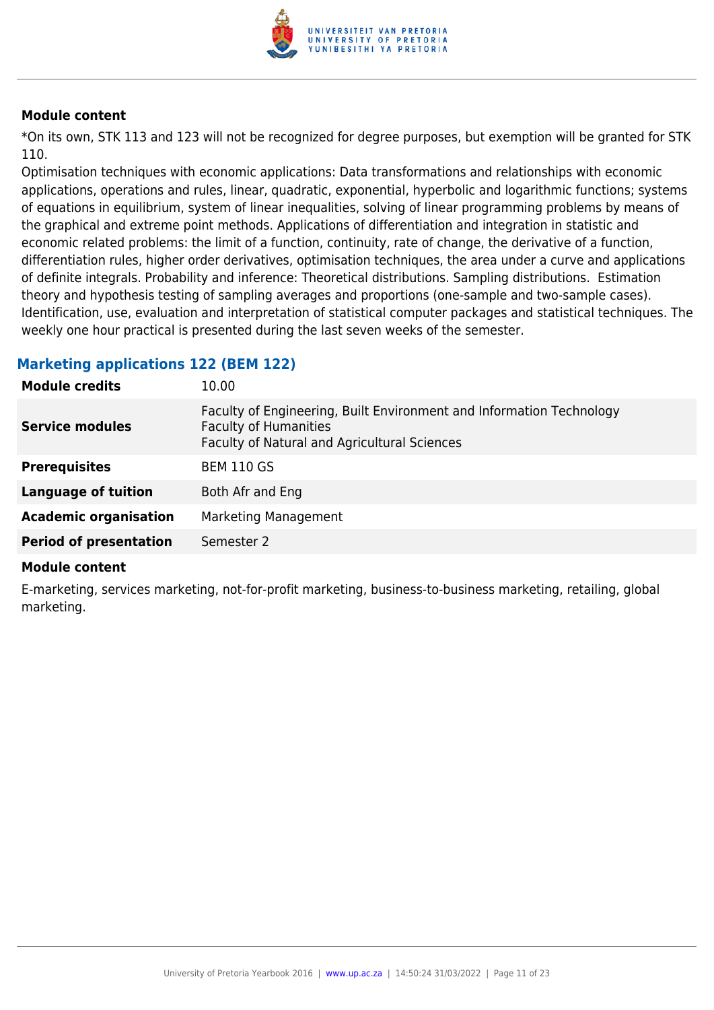

\*On its own, STK 113 and 123 will not be recognized for degree purposes, but exemption will be granted for STK 110.

Optimisation techniques with economic applications: Data transformations and relationships with economic applications, operations and rules, linear, quadratic, exponential, hyperbolic and logarithmic functions; systems of equations in equilibrium, system of linear inequalities, solving of linear programming problems by means of the graphical and extreme point methods. Applications of differentiation and integration in statistic and economic related problems: the limit of a function, continuity, rate of change, the derivative of a function, differentiation rules, higher order derivatives, optimisation techniques, the area under a curve and applications of definite integrals. Probability and inference: Theoretical distributions. Sampling distributions. Estimation theory and hypothesis testing of sampling averages and proportions (one-sample and two-sample cases). Identification, use, evaluation and interpretation of statistical computer packages and statistical techniques. The weekly one hour practical is presented during the last seven weeks of the semester.

#### **Marketing applications 122 (BEM 122)**

| <b>Module credits</b>         | 10.00                                                                                                                                                |
|-------------------------------|------------------------------------------------------------------------------------------------------------------------------------------------------|
| <b>Service modules</b>        | Faculty of Engineering, Built Environment and Information Technology<br><b>Faculty of Humanities</b><br>Faculty of Natural and Agricultural Sciences |
| <b>Prerequisites</b>          | <b>BEM 110 GS</b>                                                                                                                                    |
| <b>Language of tuition</b>    | Both Afr and Eng                                                                                                                                     |
| <b>Academic organisation</b>  | <b>Marketing Management</b>                                                                                                                          |
| <b>Period of presentation</b> | Semester 2                                                                                                                                           |
|                               |                                                                                                                                                      |

#### **Module content**

E-marketing, services marketing, not-for-profit marketing, business-to-business marketing, retailing, global marketing.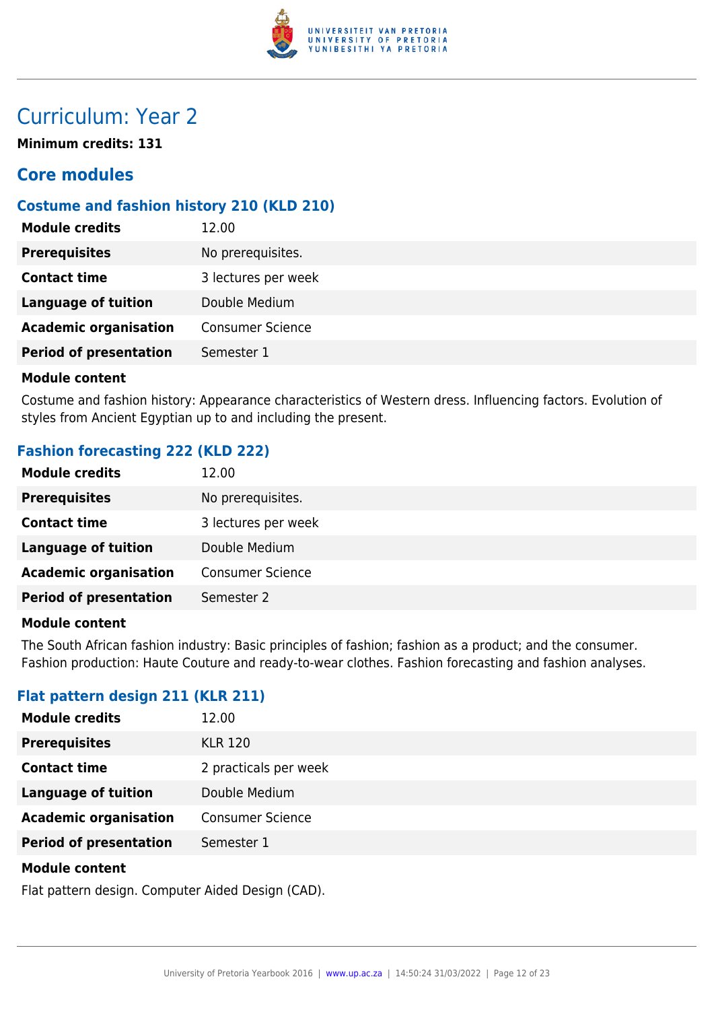

## Curriculum: Year 2

**Minimum credits: 131**

## **Core modules**

## **Costume and fashion history 210 (KLD 210)**

| <b>Module credits</b>         | 12.00                   |
|-------------------------------|-------------------------|
| <b>Prerequisites</b>          | No prerequisites.       |
| <b>Contact time</b>           | 3 lectures per week     |
| <b>Language of tuition</b>    | Double Medium           |
| <b>Academic organisation</b>  | <b>Consumer Science</b> |
| <b>Period of presentation</b> | Semester 1              |
|                               |                         |

#### **Module content**

Costume and fashion history: Appearance characteristics of Western dress. Influencing factors. Evolution of styles from Ancient Egyptian up to and including the present.

## **Fashion forecasting 222 (KLD 222)**

| <b>Module credits</b>         | 12.00                   |
|-------------------------------|-------------------------|
| <b>Prerequisites</b>          | No prerequisites.       |
| <b>Contact time</b>           | 3 lectures per week     |
| <b>Language of tuition</b>    | Double Medium           |
| <b>Academic organisation</b>  | <b>Consumer Science</b> |
| <b>Period of presentation</b> | Semester 2              |

#### **Module content**

The South African fashion industry: Basic principles of fashion; fashion as a product; and the consumer. Fashion production: Haute Couture and ready-to-wear clothes. Fashion forecasting and fashion analyses.

### **Flat pattern design 211 (KLR 211)**

| <b>Module credits</b>         | 12.00                   |
|-------------------------------|-------------------------|
| <b>Prerequisites</b>          | <b>KLR 120</b>          |
| <b>Contact time</b>           | 2 practicals per week   |
| <b>Language of tuition</b>    | Double Medium           |
| <b>Academic organisation</b>  | <b>Consumer Science</b> |
| <b>Period of presentation</b> | Semester 1              |
|                               |                         |

#### **Module content**

Flat pattern design. Computer Aided Design (CAD).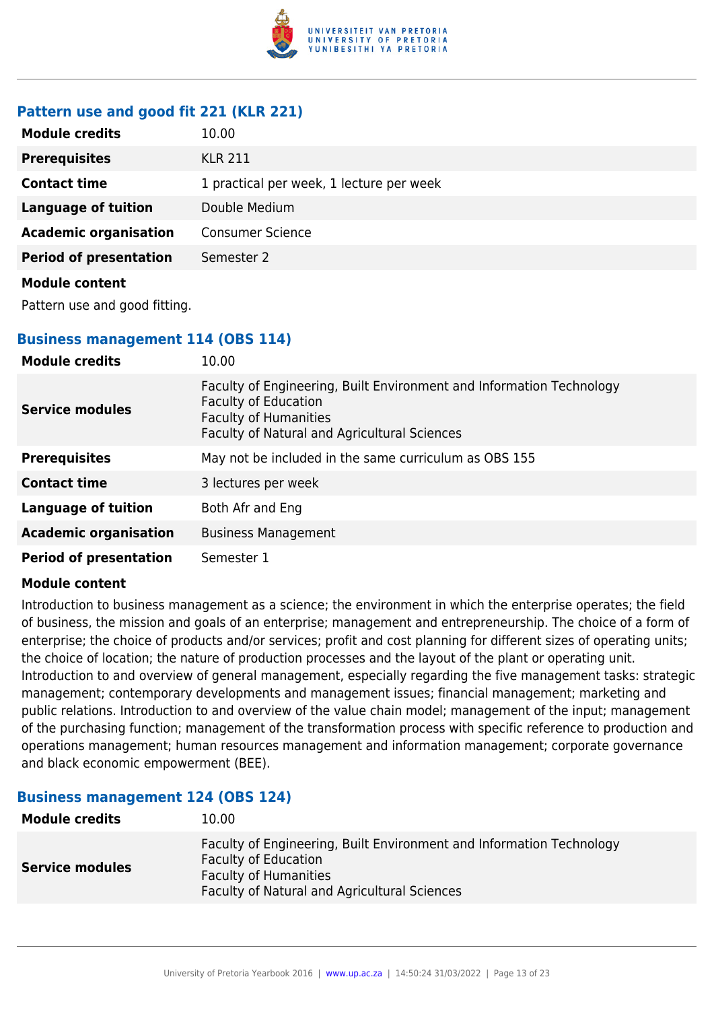

## **Pattern use and good fit 221 (KLR 221)**

| <b>Module credits</b>         | 10.00                                    |
|-------------------------------|------------------------------------------|
| <b>Prerequisites</b>          | <b>KLR 211</b>                           |
| <b>Contact time</b>           | 1 practical per week, 1 lecture per week |
| <b>Language of tuition</b>    | Double Medium                            |
| <b>Academic organisation</b>  | <b>Consumer Science</b>                  |
| <b>Period of presentation</b> | Semester 2                               |
| <b>Module content</b>         |                                          |

Pattern use and good fitting.

### **Business management 114 (OBS 114)**

| <b>Module credits</b>         | 10.00                                                                                                                                                                               |
|-------------------------------|-------------------------------------------------------------------------------------------------------------------------------------------------------------------------------------|
| <b>Service modules</b>        | Faculty of Engineering, Built Environment and Information Technology<br><b>Faculty of Education</b><br><b>Faculty of Humanities</b><br>Faculty of Natural and Agricultural Sciences |
| <b>Prerequisites</b>          | May not be included in the same curriculum as OBS 155                                                                                                                               |
| <b>Contact time</b>           | 3 lectures per week                                                                                                                                                                 |
| <b>Language of tuition</b>    | Both Afr and Eng                                                                                                                                                                    |
| <b>Academic organisation</b>  | <b>Business Management</b>                                                                                                                                                          |
| <b>Period of presentation</b> | Semester 1                                                                                                                                                                          |

#### **Module content**

Introduction to business management as a science; the environment in which the enterprise operates; the field of business, the mission and goals of an enterprise; management and entrepreneurship. The choice of a form of enterprise; the choice of products and/or services; profit and cost planning for different sizes of operating units; the choice of location; the nature of production processes and the layout of the plant or operating unit. Introduction to and overview of general management, especially regarding the five management tasks: strategic management; contemporary developments and management issues; financial management; marketing and public relations. Introduction to and overview of the value chain model; management of the input; management of the purchasing function; management of the transformation process with specific reference to production and operations management; human resources management and information management; corporate governance and black economic empowerment (BEE).

#### **Business management 124 (OBS 124)**

| <b>Module credits</b>  | 10.00                                                                                                                                                                                      |
|------------------------|--------------------------------------------------------------------------------------------------------------------------------------------------------------------------------------------|
| <b>Service modules</b> | Faculty of Engineering, Built Environment and Information Technology<br><b>Faculty of Education</b><br><b>Faculty of Humanities</b><br><b>Faculty of Natural and Agricultural Sciences</b> |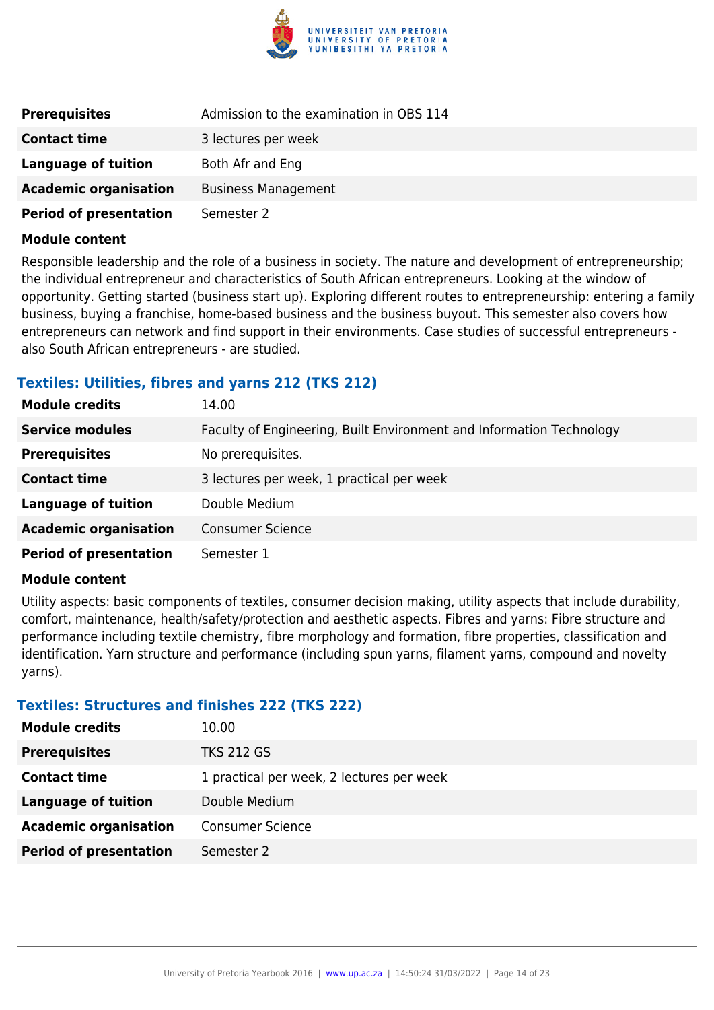

| <b>Prerequisites</b>          | Admission to the examination in OBS 114 |
|-------------------------------|-----------------------------------------|
| <b>Contact time</b>           | 3 lectures per week                     |
| Language of tuition           | Both Afr and Eng                        |
| <b>Academic organisation</b>  | <b>Business Management</b>              |
| <b>Period of presentation</b> | Semester 2                              |

Responsible leadership and the role of a business in society. The nature and development of entrepreneurship; the individual entrepreneur and characteristics of South African entrepreneurs. Looking at the window of opportunity. Getting started (business start up). Exploring different routes to entrepreneurship: entering a family business, buying a franchise, home-based business and the business buyout. This semester also covers how entrepreneurs can network and find support in their environments. Case studies of successful entrepreneurs also South African entrepreneurs - are studied.

#### **Textiles: Utilities, fibres and yarns 212 (TKS 212)**

| <b>Module credits</b>         | 14.00                                                                |
|-------------------------------|----------------------------------------------------------------------|
| <b>Service modules</b>        | Faculty of Engineering, Built Environment and Information Technology |
| <b>Prerequisites</b>          | No prerequisites.                                                    |
| <b>Contact time</b>           | 3 lectures per week, 1 practical per week                            |
| <b>Language of tuition</b>    | Double Medium                                                        |
| <b>Academic organisation</b>  | <b>Consumer Science</b>                                              |
| <b>Period of presentation</b> | Semester 1                                                           |

#### **Module content**

Utility aspects: basic components of textiles, consumer decision making, utility aspects that include durability, comfort, maintenance, health/safety/protection and aesthetic aspects. Fibres and yarns: Fibre structure and performance including textile chemistry, fibre morphology and formation, fibre properties, classification and identification. Yarn structure and performance (including spun yarns, filament yarns, compound and novelty yarns).

#### **Textiles: Structures and finishes 222 (TKS 222)**

| <b>Module credits</b>         | 10.00                                     |
|-------------------------------|-------------------------------------------|
| <b>Prerequisites</b>          | <b>TKS 212 GS</b>                         |
| <b>Contact time</b>           | 1 practical per week, 2 lectures per week |
| Language of tuition           | Double Medium                             |
| <b>Academic organisation</b>  | <b>Consumer Science</b>                   |
| <b>Period of presentation</b> | Semester 2                                |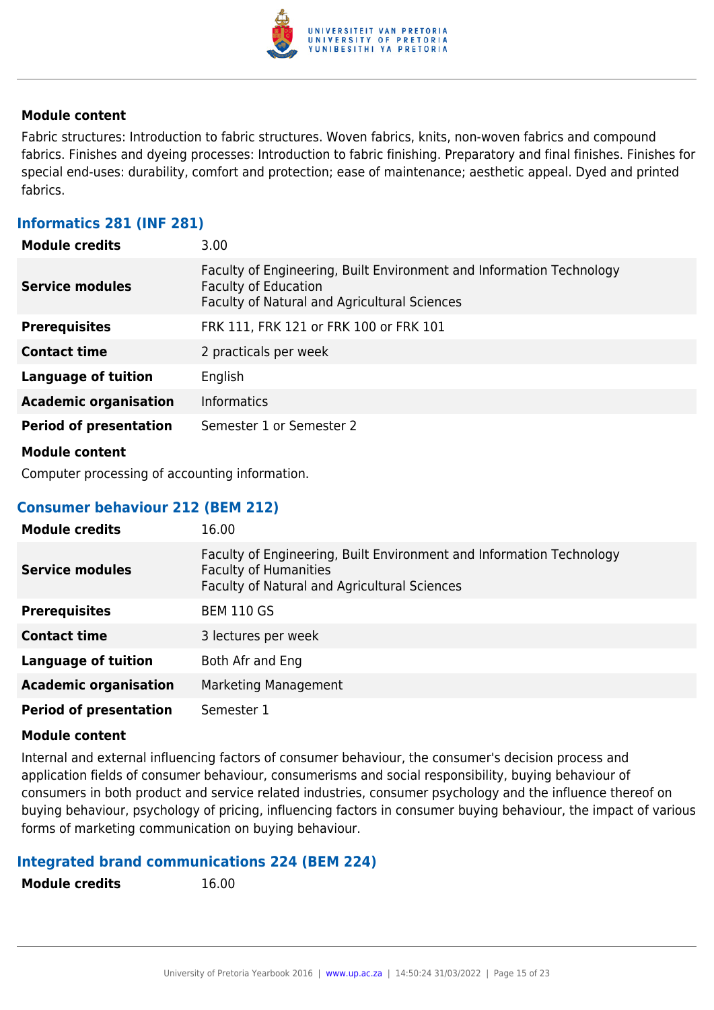

Fabric structures: Introduction to fabric structures. Woven fabrics, knits, non-woven fabrics and compound fabrics. Finishes and dyeing processes: Introduction to fabric finishing. Preparatory and final finishes. Finishes for special end-uses: durability, comfort and protection; ease of maintenance; aesthetic appeal. Dyed and printed fabrics.

#### **Informatics 281 (INF 281)**

| <b>Module credits</b>         | 3.00                                                                                                                                                       |
|-------------------------------|------------------------------------------------------------------------------------------------------------------------------------------------------------|
| <b>Service modules</b>        | Faculty of Engineering, Built Environment and Information Technology<br><b>Faculty of Education</b><br><b>Faculty of Natural and Agricultural Sciences</b> |
| <b>Prerequisites</b>          | FRK 111, FRK 121 or FRK 100 or FRK 101                                                                                                                     |
| <b>Contact time</b>           | 2 practicals per week                                                                                                                                      |
| <b>Language of tuition</b>    | English                                                                                                                                                    |
| <b>Academic organisation</b>  | <b>Informatics</b>                                                                                                                                         |
| <b>Period of presentation</b> | Semester 1 or Semester 2                                                                                                                                   |
| <b>Module content</b>         |                                                                                                                                                            |

Computer processing of accounting information.

#### **Consumer behaviour 212 (BEM 212)**

| <b>Module credits</b>         | 16.00                                                                                                                                                |
|-------------------------------|------------------------------------------------------------------------------------------------------------------------------------------------------|
| <b>Service modules</b>        | Faculty of Engineering, Built Environment and Information Technology<br><b>Faculty of Humanities</b><br>Faculty of Natural and Agricultural Sciences |
| <b>Prerequisites</b>          | <b>BEM 110 GS</b>                                                                                                                                    |
| <b>Contact time</b>           | 3 lectures per week                                                                                                                                  |
| <b>Language of tuition</b>    | Both Afr and Eng                                                                                                                                     |
| <b>Academic organisation</b>  | Marketing Management                                                                                                                                 |
| <b>Period of presentation</b> | Semester 1                                                                                                                                           |

#### **Module content**

Internal and external influencing factors of consumer behaviour, the consumer's decision process and application fields of consumer behaviour, consumerisms and social responsibility, buying behaviour of consumers in both product and service related industries, consumer psychology and the influence thereof on buying behaviour, psychology of pricing, influencing factors in consumer buying behaviour, the impact of various forms of marketing communication on buying behaviour.

#### **Integrated brand communications 224 (BEM 224)**

**Module credits** 16.00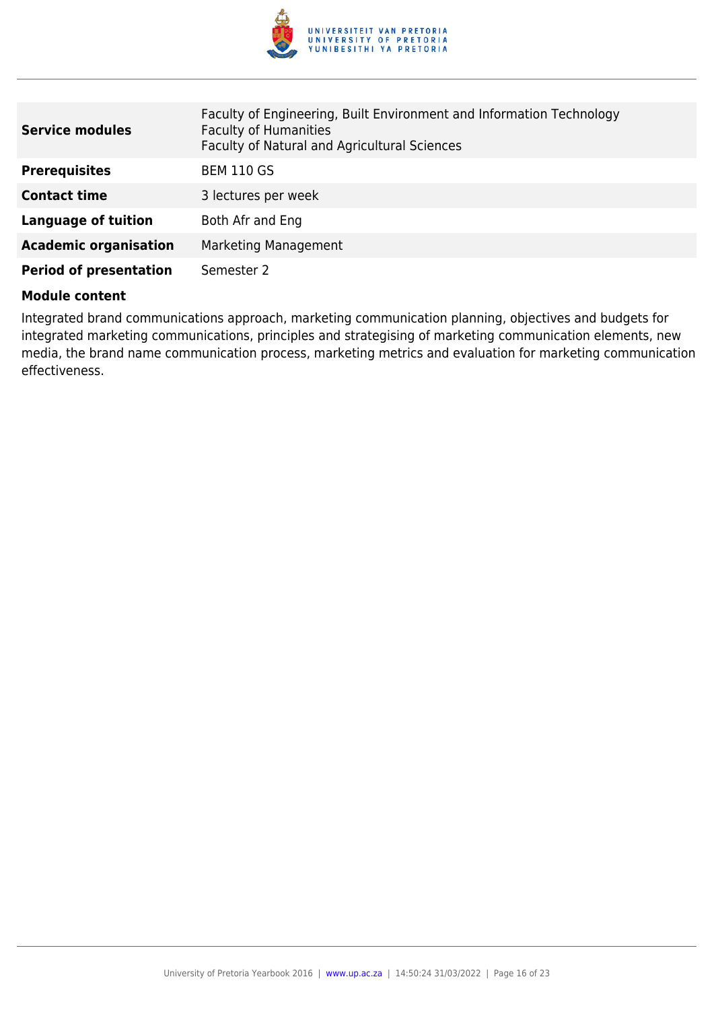

| <b>Service modules</b>        | Faculty of Engineering, Built Environment and Information Technology<br><b>Faculty of Humanities</b><br>Faculty of Natural and Agricultural Sciences |
|-------------------------------|------------------------------------------------------------------------------------------------------------------------------------------------------|
| <b>Prerequisites</b>          | <b>BEM 110 GS</b>                                                                                                                                    |
| <b>Contact time</b>           | 3 lectures per week                                                                                                                                  |
| <b>Language of tuition</b>    | Both Afr and Eng                                                                                                                                     |
| <b>Academic organisation</b>  | <b>Marketing Management</b>                                                                                                                          |
| <b>Period of presentation</b> | Semester 2                                                                                                                                           |

Integrated brand communications approach, marketing communication planning, objectives and budgets for integrated marketing communications, principles and strategising of marketing communication elements, new media, the brand name communication process, marketing metrics and evaluation for marketing communication effectiveness.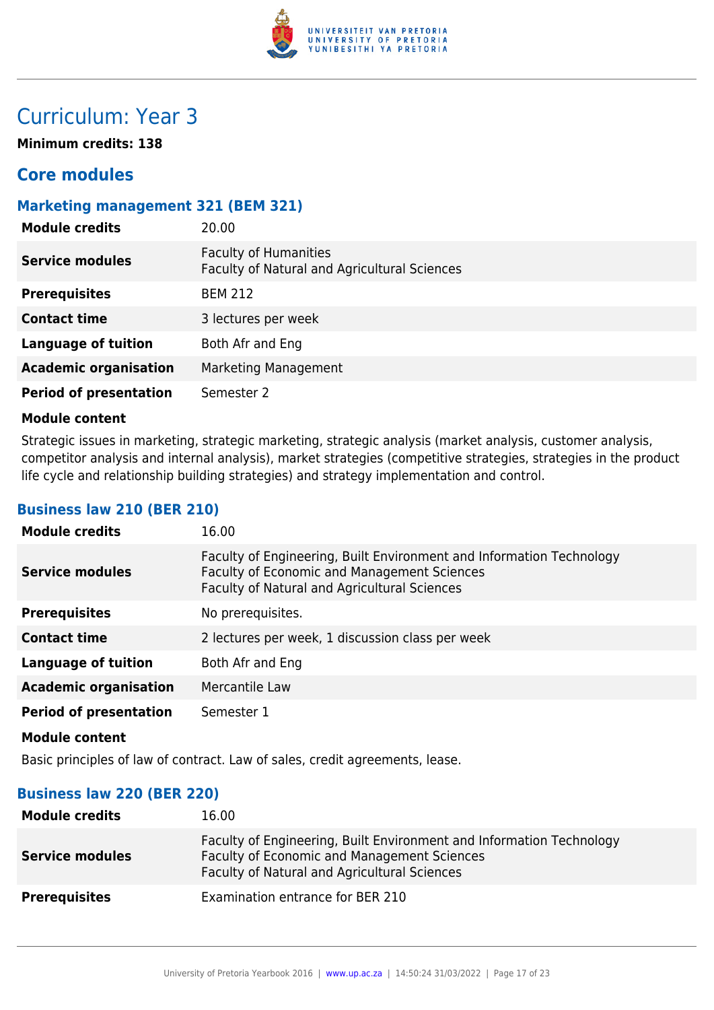

## Curriculum: Year 3

**Minimum credits: 138**

## **Core modules**

#### **Marketing management 321 (BEM 321)**

| <b>Module credits</b>         | 20.00                                                                        |
|-------------------------------|------------------------------------------------------------------------------|
| <b>Service modules</b>        | <b>Faculty of Humanities</b><br>Faculty of Natural and Agricultural Sciences |
| <b>Prerequisites</b>          | <b>BEM 212</b>                                                               |
| <b>Contact time</b>           | 3 lectures per week                                                          |
| <b>Language of tuition</b>    | Both Afr and Eng                                                             |
| <b>Academic organisation</b>  | Marketing Management                                                         |
| <b>Period of presentation</b> | Semester 2                                                                   |

#### **Module content**

Strategic issues in marketing, strategic marketing, strategic analysis (market analysis, customer analysis, competitor analysis and internal analysis), market strategies (competitive strategies, strategies in the product life cycle and relationship building strategies) and strategy implementation and control.

#### **Business law 210 (BER 210)**

| <b>Module credits</b>         | 16.00                                                                                                                                                                      |
|-------------------------------|----------------------------------------------------------------------------------------------------------------------------------------------------------------------------|
| <b>Service modules</b>        | Faculty of Engineering, Built Environment and Information Technology<br>Faculty of Economic and Management Sciences<br><b>Faculty of Natural and Agricultural Sciences</b> |
| <b>Prerequisites</b>          | No prerequisites.                                                                                                                                                          |
| <b>Contact time</b>           | 2 lectures per week, 1 discussion class per week                                                                                                                           |
| Language of tuition           | Both Afr and Eng                                                                                                                                                           |
| <b>Academic organisation</b>  | Mercantile Law                                                                                                                                                             |
| <b>Period of presentation</b> | Semester 1                                                                                                                                                                 |
| <b>Module content</b>         |                                                                                                                                                                            |

Basic principles of law of contract. Law of sales, credit agreements, lease.

#### **Business law 220 (BER 220)**

| <b>Module credits</b>  | 16.00                                                                                                                                                               |
|------------------------|---------------------------------------------------------------------------------------------------------------------------------------------------------------------|
| <b>Service modules</b> | Faculty of Engineering, Built Environment and Information Technology<br>Faculty of Economic and Management Sciences<br>Faculty of Natural and Agricultural Sciences |
| <b>Prerequisites</b>   | Examination entrance for BER 210                                                                                                                                    |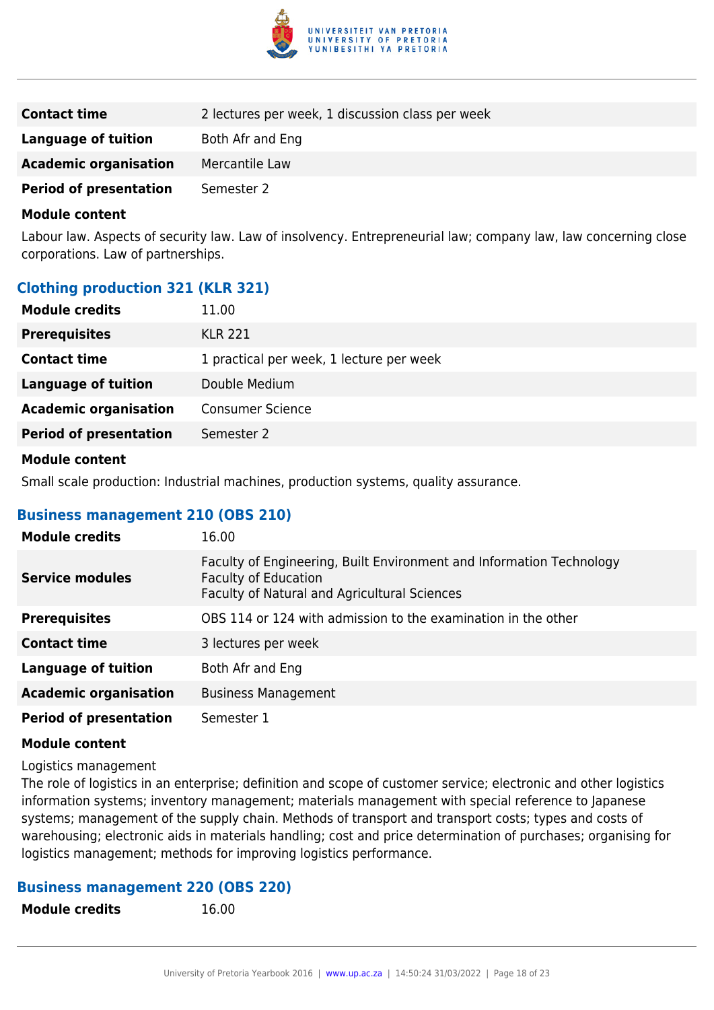

| <b>Contact time</b>           | 2 lectures per week, 1 discussion class per week |
|-------------------------------|--------------------------------------------------|
| Language of tuition           | Both Afr and Eng                                 |
| <b>Academic organisation</b>  | Mercantile Law                                   |
| <b>Period of presentation</b> | Semester 2                                       |

Labour law. Aspects of security law. Law of insolvency. Entrepreneurial law; company law, law concerning close corporations. Law of partnerships.

#### **Clothing production 321 (KLR 321)**

| <b>Module credits</b>         | 11.00                                    |
|-------------------------------|------------------------------------------|
| <b>Prerequisites</b>          | <b>KLR 221</b>                           |
| <b>Contact time</b>           | 1 practical per week, 1 lecture per week |
| <b>Language of tuition</b>    | Double Medium                            |
| <b>Academic organisation</b>  | <b>Consumer Science</b>                  |
| <b>Period of presentation</b> | Semester 2                               |
|                               |                                          |

#### **Module content**

Small scale production: Industrial machines, production systems, quality assurance.

#### **Business management 210 (OBS 210)**

| <b>Module credits</b>         | 16.00                                                                                                                                               |
|-------------------------------|-----------------------------------------------------------------------------------------------------------------------------------------------------|
| <b>Service modules</b>        | Faculty of Engineering, Built Environment and Information Technology<br><b>Faculty of Education</b><br>Faculty of Natural and Agricultural Sciences |
| <b>Prerequisites</b>          | OBS 114 or 124 with admission to the examination in the other                                                                                       |
| <b>Contact time</b>           | 3 lectures per week                                                                                                                                 |
| <b>Language of tuition</b>    | Both Afr and Eng                                                                                                                                    |
| <b>Academic organisation</b>  | <b>Business Management</b>                                                                                                                          |
| <b>Period of presentation</b> | Semester 1                                                                                                                                          |

#### **Module content**

Logistics management

The role of logistics in an enterprise; definition and scope of customer service; electronic and other logistics information systems; inventory management; materials management with special reference to Japanese systems; management of the supply chain. Methods of transport and transport costs; types and costs of warehousing; electronic aids in materials handling; cost and price determination of purchases; organising for logistics management; methods for improving logistics performance.

## **Business management 220 (OBS 220)**

**Module credits** 16.00

University of Pretoria Yearbook 2016 | [www.up.ac.za](https://www.google.com/) | 14:50:24 31/03/2022 | Page 18 of 23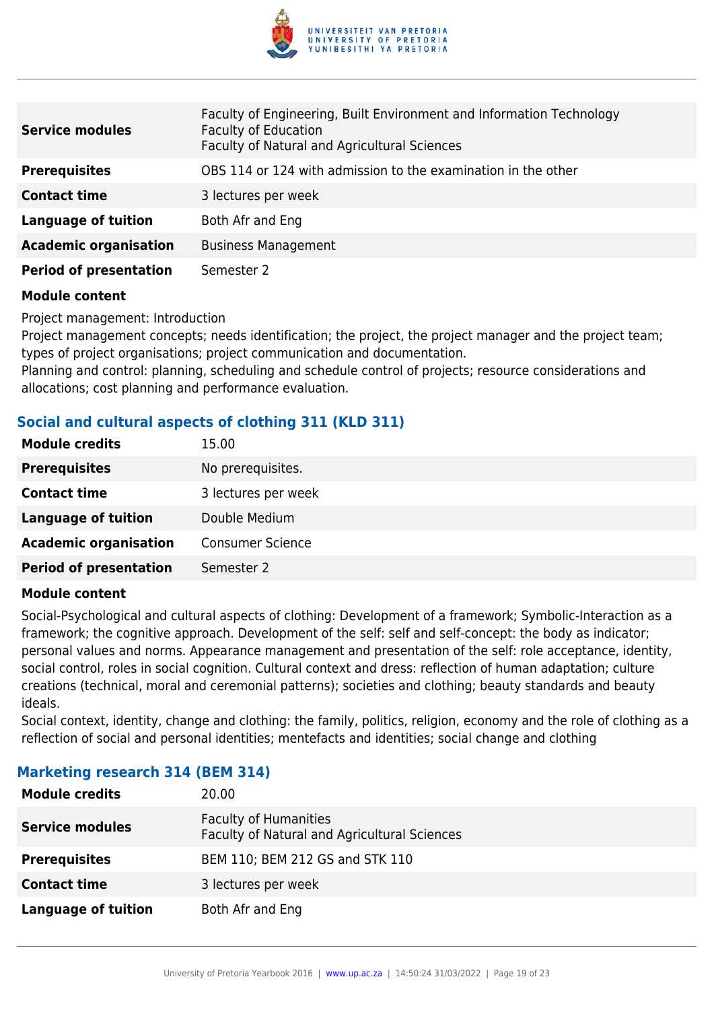

| <b>Service modules</b>        | Faculty of Engineering, Built Environment and Information Technology<br><b>Faculty of Education</b><br>Faculty of Natural and Agricultural Sciences |
|-------------------------------|-----------------------------------------------------------------------------------------------------------------------------------------------------|
| <b>Prerequisites</b>          | OBS 114 or 124 with admission to the examination in the other                                                                                       |
| <b>Contact time</b>           | 3 lectures per week                                                                                                                                 |
| <b>Language of tuition</b>    | Both Afr and Eng                                                                                                                                    |
| <b>Academic organisation</b>  | <b>Business Management</b>                                                                                                                          |
| <b>Period of presentation</b> | Semester 2                                                                                                                                          |

Project management: Introduction

Project management concepts; needs identification; the project, the project manager and the project team; types of project organisations; project communication and documentation.

Planning and control: planning, scheduling and schedule control of projects; resource considerations and allocations; cost planning and performance evaluation.

### **Social and cultural aspects of clothing 311 (KLD 311)**

| <b>Module credits</b>         | 15.00                   |
|-------------------------------|-------------------------|
| <b>Prerequisites</b>          | No prerequisites.       |
| <b>Contact time</b>           | 3 lectures per week     |
| <b>Language of tuition</b>    | Double Medium           |
| <b>Academic organisation</b>  | <b>Consumer Science</b> |
| <b>Period of presentation</b> | Semester 2              |

#### **Module content**

Social-Psychological and cultural aspects of clothing: Development of a framework; Symbolic-Interaction as a framework; the cognitive approach. Development of the self: self and self-concept: the body as indicator; personal values and norms. Appearance management and presentation of the self: role acceptance, identity, social control, roles in social cognition. Cultural context and dress: reflection of human adaptation; culture creations (technical, moral and ceremonial patterns); societies and clothing; beauty standards and beauty ideals.

Social context, identity, change and clothing: the family, politics, religion, economy and the role of clothing as a reflection of social and personal identities; mentefacts and identities; social change and clothing

## **Module credits** 20.00 **Service modules** Faculty of Humanities Faculty of Natural and Agricultural Sciences **Prerequisites** BEM 110; BEM 212 GS and STK 110

## **Marketing research 314 (BEM 314)**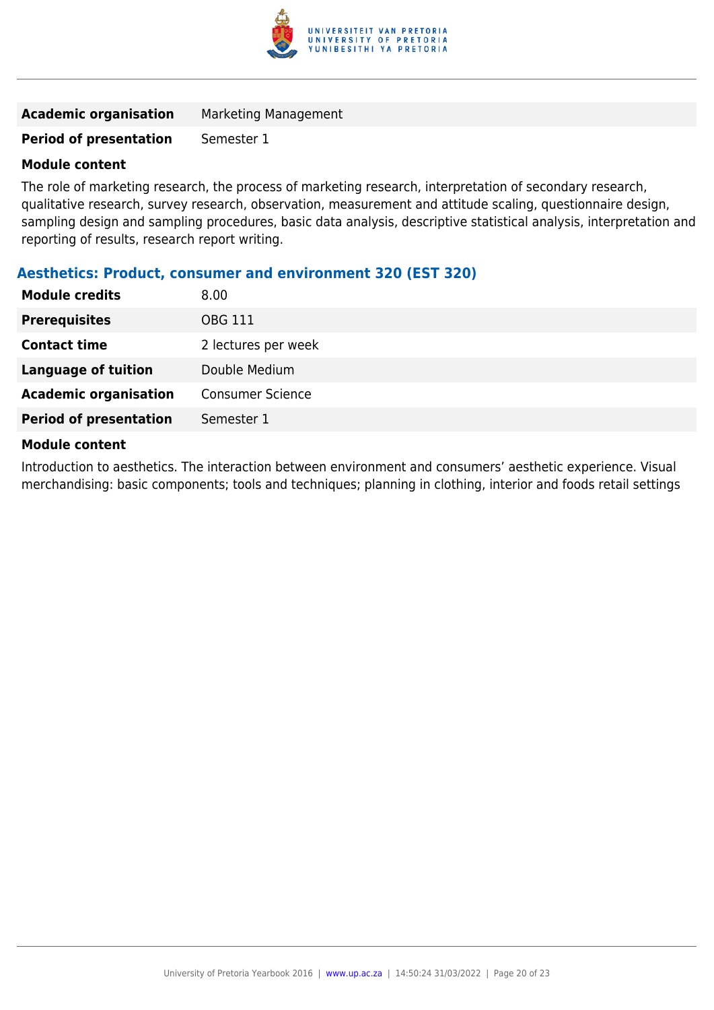

#### **Period of presentation** Semester 1

#### **Module content**

The role of marketing research, the process of marketing research, interpretation of secondary research, qualitative research, survey research, observation, measurement and attitude scaling, questionnaire design, sampling design and sampling procedures, basic data analysis, descriptive statistical analysis, interpretation and reporting of results, research report writing.

#### **Aesthetics: Product, consumer and environment 320 (EST 320)**

| <b>Module credits</b>         | 8.00                    |
|-------------------------------|-------------------------|
| <b>Prerequisites</b>          | <b>OBG 111</b>          |
| <b>Contact time</b>           | 2 lectures per week     |
| <b>Language of tuition</b>    | Double Medium           |
| <b>Academic organisation</b>  | <b>Consumer Science</b> |
| <b>Period of presentation</b> | Semester 1              |
| .                             |                         |

#### **Module content**

Introduction to aesthetics. The interaction between environment and consumers' aesthetic experience. Visual merchandising: basic components; tools and techniques; planning in clothing, interior and foods retail settings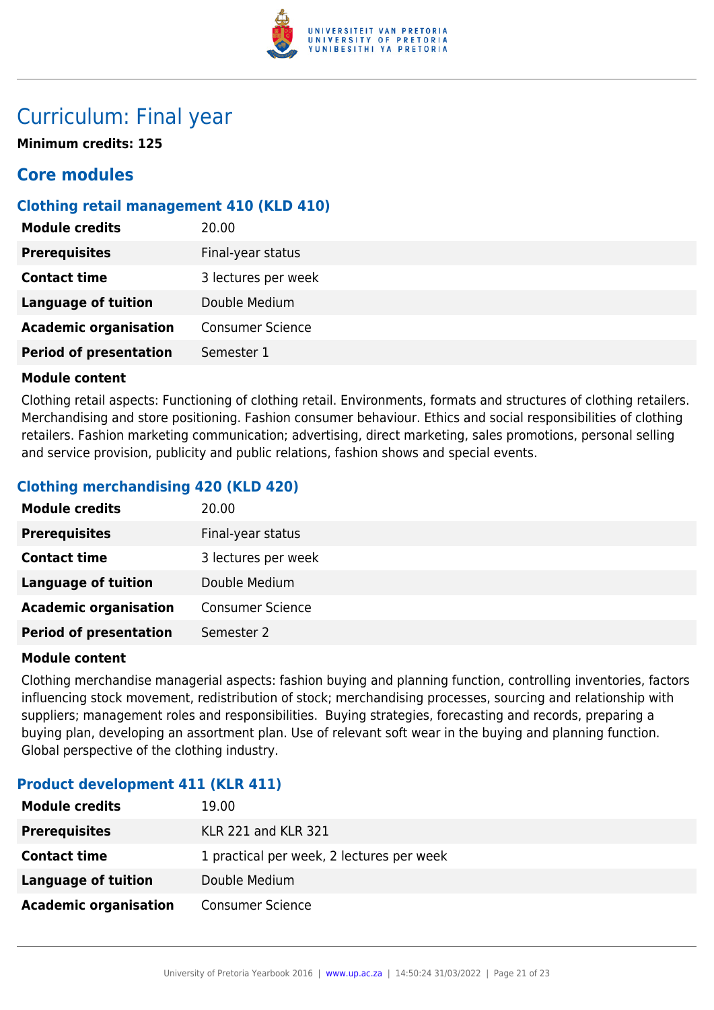

## Curriculum: Final year

**Minimum credits: 125**

## **Core modules**

## **Clothing retail management 410 (KLD 410)**

| <b>Module credits</b>         | 20.00                   |
|-------------------------------|-------------------------|
| <b>Prerequisites</b>          | Final-year status       |
| <b>Contact time</b>           | 3 lectures per week     |
| <b>Language of tuition</b>    | Double Medium           |
| <b>Academic organisation</b>  | <b>Consumer Science</b> |
| <b>Period of presentation</b> | Semester 1              |
|                               |                         |

### **Module content**

Clothing retail aspects: Functioning of clothing retail. Environments, formats and structures of clothing retailers. Merchandising and store positioning. Fashion consumer behaviour. Ethics and social responsibilities of clothing retailers. Fashion marketing communication; advertising, direct marketing, sales promotions, personal selling and service provision, publicity and public relations, fashion shows and special events.

## **Clothing merchandising 420 (KLD 420)**

| <b>Module credits</b>         | 20.00                   |
|-------------------------------|-------------------------|
| <b>Prerequisites</b>          | Final-year status       |
| <b>Contact time</b>           | 3 lectures per week     |
| <b>Language of tuition</b>    | Double Medium           |
| <b>Academic organisation</b>  | <b>Consumer Science</b> |
| <b>Period of presentation</b> | Semester 2              |

#### **Module content**

Clothing merchandise managerial aspects: fashion buying and planning function, controlling inventories, factors influencing stock movement, redistribution of stock; merchandising processes, sourcing and relationship with suppliers; management roles and responsibilities. Buying strategies, forecasting and records, preparing a buying plan, developing an assortment plan. Use of relevant soft wear in the buying and planning function. Global perspective of the clothing industry.

### **Product development 411 (KLR 411)**

| <b>Module credits</b>        | 19.00                                     |
|------------------------------|-------------------------------------------|
| <b>Prerequisites</b>         | <b>KLR 221 and KLR 321</b>                |
| <b>Contact time</b>          | 1 practical per week, 2 lectures per week |
| Language of tuition          | Double Medium                             |
| <b>Academic organisation</b> | <b>Consumer Science</b>                   |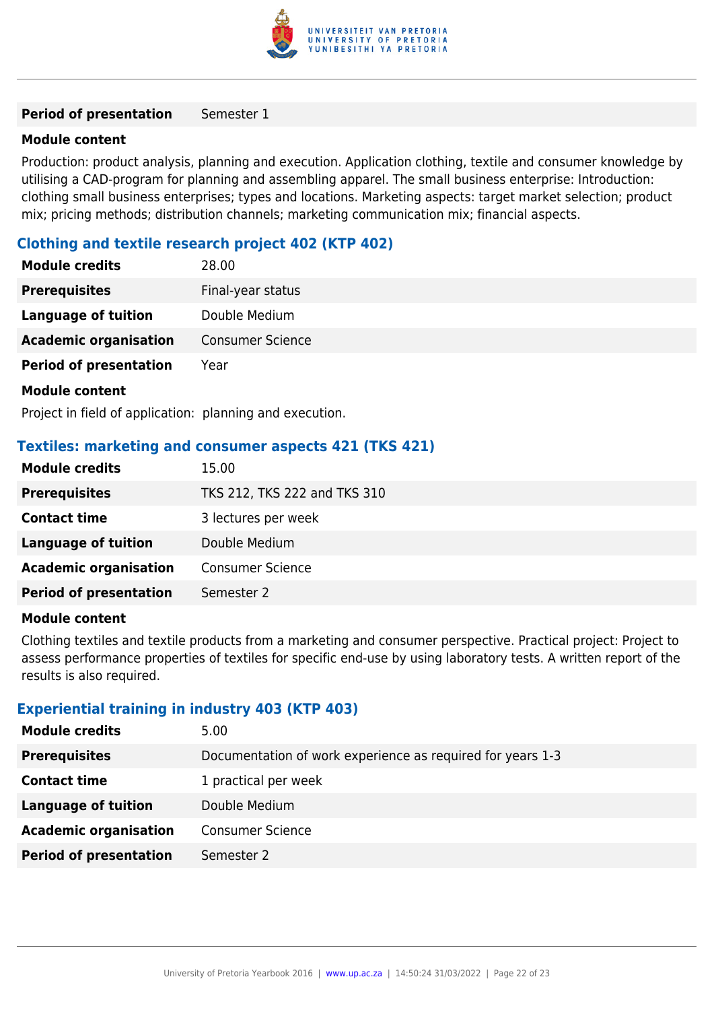

#### **Period of presentation** Semester 1

#### **Module content**

Production: product analysis, planning and execution. Application clothing, textile and consumer knowledge by utilising a CAD-program for planning and assembling apparel. The small business enterprise: Introduction: clothing small business enterprises; types and locations. Marketing aspects: target market selection; product mix; pricing methods; distribution channels; marketing communication mix; financial aspects.

#### **Clothing and textile research project 402 (KTP 402)**

| <b>Module credits</b>         | 28.00                   |
|-------------------------------|-------------------------|
| <b>Prerequisites</b>          | Final-year status       |
| <b>Language of tuition</b>    | Double Medium           |
| <b>Academic organisation</b>  | <b>Consumer Science</b> |
| <b>Period of presentation</b> | Year                    |
| <b>Module content</b>         |                         |

Project in field of application: planning and execution.

#### **Textiles: marketing and consumer aspects 421 (TKS 421)**

| <b>Module credits</b>         | 15.00                        |
|-------------------------------|------------------------------|
| <b>Prerequisites</b>          | TKS 212, TKS 222 and TKS 310 |
| <b>Contact time</b>           | 3 lectures per week          |
| <b>Language of tuition</b>    | Double Medium                |
| <b>Academic organisation</b>  | <b>Consumer Science</b>      |
| <b>Period of presentation</b> | Semester 2                   |

#### **Module content**

Clothing textiles and textile products from a marketing and consumer perspective. Practical project: Project to assess performance properties of textiles for specific end-use by using laboratory tests. A written report of the results is also required.

#### **Experiential training in industry 403 (KTP 403)**

| <b>Module credits</b><br>5.00                           |                                                            |
|---------------------------------------------------------|------------------------------------------------------------|
| <b>Prerequisites</b>                                    | Documentation of work experience as required for years 1-3 |
| <b>Contact time</b><br>1 practical per week             |                                                            |
| Language of tuition<br>Double Medium                    |                                                            |
| <b>Academic organisation</b><br><b>Consumer Science</b> |                                                            |
| <b>Period of presentation</b><br>Semester 2             |                                                            |